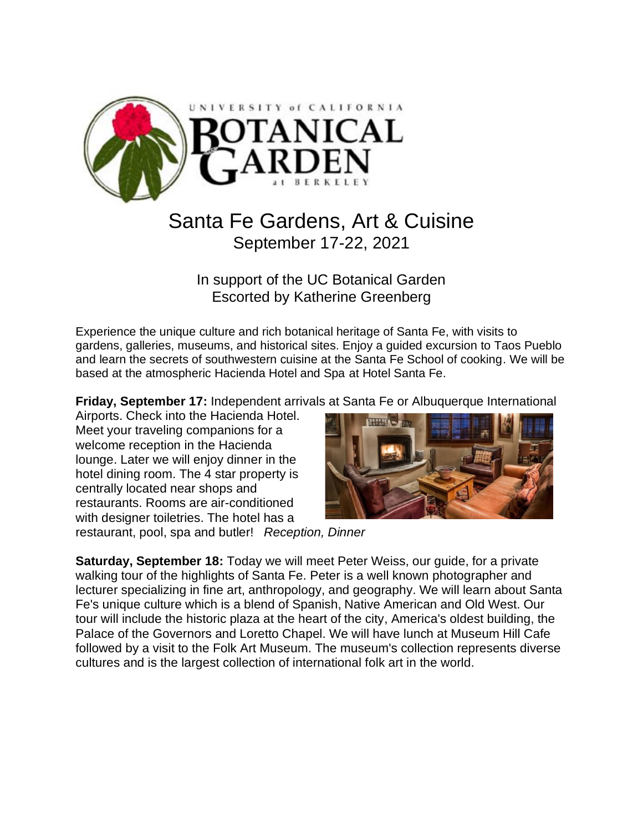

# Santa Fe Gardens, Art & Cuisine September 17-22, 2021

In support of the UC Botanical Garden Escorted by Katherine Greenberg

Experience the unique culture and rich botanical heritage of Santa Fe, with visits to gardens, galleries, museums, and historical sites. Enjoy a guided excursion to Taos Pueblo and learn the secrets of southwestern cuisine at the Santa Fe School of cooking. We will be based at the atmospheric Hacienda Hotel and Spa at Hotel Santa Fe.

**Friday, September 17:** Independent arrivals at Santa Fe or Albuquerque International

Airports. Check into the Hacienda Hotel. Meet your traveling companions for a welcome reception in the Hacienda lounge. Later we will enjoy dinner in the hotel dining room. The 4 star property is centrally located near shops and restaurants. Rooms are air-conditioned with designer toiletries. The hotel has a



restaurant, pool, spa and butler! *Reception, Dinner*

**Saturday, September 18:** Today we will meet Peter Weiss, our guide, for a private walking tour of the highlights of Santa Fe. Peter is a well known photographer and lecturer specializing in fine art, anthropology, and geography. We will learn about Santa Fe's unique culture which is a blend of Spanish, Native American and Old West. Our tour will include the historic plaza at the heart of the city, America's oldest building, the Palace of the Governors and Loretto Chapel. We will have lunch at Museum Hill Cafe followed by a visit to the Folk Art Museum. The museum's collection represents diverse cultures and is the largest collection of international folk art in the world.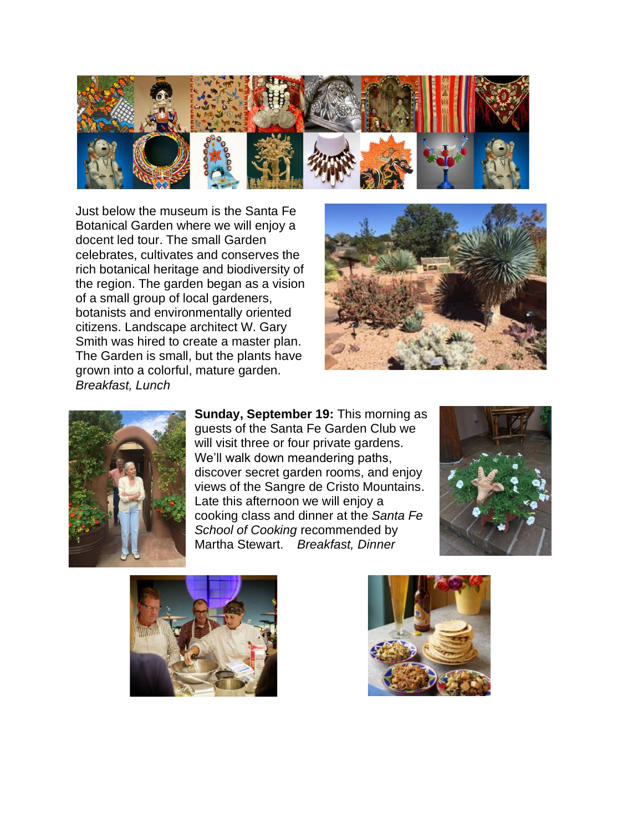

Just below the museum is the Santa Fe Botanical Garden where we will enjoy a docent led tour. The small Garden celebrates, cultivates and conserves the rich botanical heritage and biodiversity of the region. The garden began as a vision of a small group of local gardeners, botanists and environmentally oriented citizens. Landscape architect W. Gary Smith was hired to create a master plan. The Garden is small, but the plants have grown into a colorful, mature garden. *Breakfast, Lunch*





**Sunday, September 19:** This morning as guests of the Santa Fe Garden Club we will visit three or four private gardens. We'll walk down meandering paths, discover secret garden rooms, and enjoy views of the Sangre de Cristo Mountains. Late this afternoon we will enjoy a cooking class and dinner at the *Santa Fe School of Cooking* recommended by Martha Stewart. *Breakfast, Dinner*





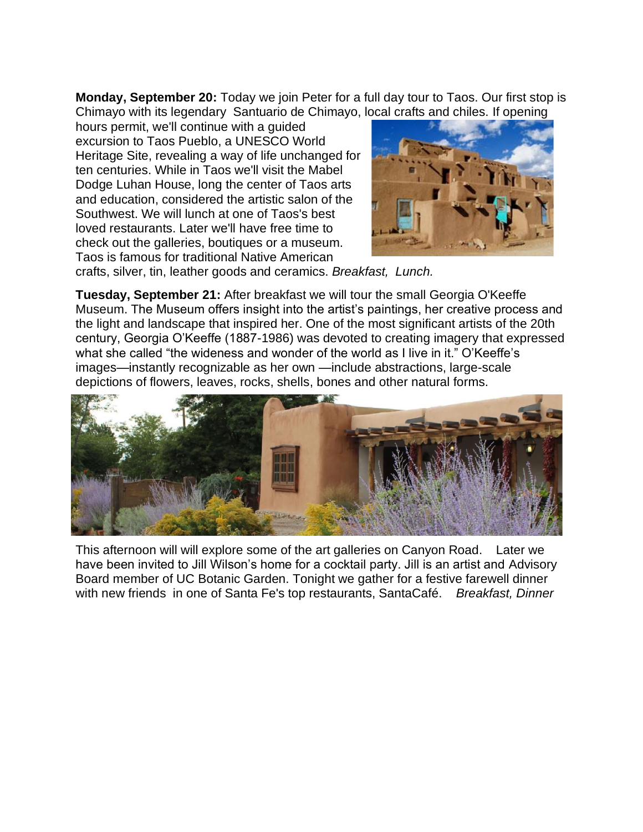**Monday, September 20:** Today we join Peter for a full day tour to Taos. Our first stop is Chimayo with its legendary Santuario de Chimayo, local crafts and chiles. If opening

hours permit, we'll continue with a guided excursion to Taos Pueblo, a UNESCO World Heritage Site, revealing a way of life unchanged for ten centuries. While in Taos we'll visit the Mabel Dodge Luhan House, long the center of Taos arts and education, considered the artistic salon of the Southwest. We will lunch at one of Taos's best loved restaurants. Later we'll have free time to check out the galleries, boutiques or a museum. Taos is famous for traditional Native American



crafts, silver, tin, leather goods and ceramics. *Breakfast, Lunch.*

**Tuesday, September 21:** After breakfast we will tour the small Georgia O'Keeffe Museum. The Museum offers insight into the artist's paintings, her creative process and the light and landscape that inspired her. One of the most significant artists of the 20th century, Georgia O'Keeffe (1887-1986) was devoted to creating imagery that expressed what she called "the wideness and wonder of the world as I live in it." O'Keeffe's images—instantly recognizable as her own —include abstractions, large-scale depictions of flowers, leaves, rocks, shells, bones and other natural forms.



This afternoon will will explore some of the art galleries on Canyon Road. Later we have been invited to Jill Wilson's home for a cocktail party. Jill is an artist and Advisory Board member of UC Botanic Garden. Tonight we gather for a festive farewell dinner with new friends in one of Santa Fe's top restaurants, SantaCafé. *Breakfast, Dinner*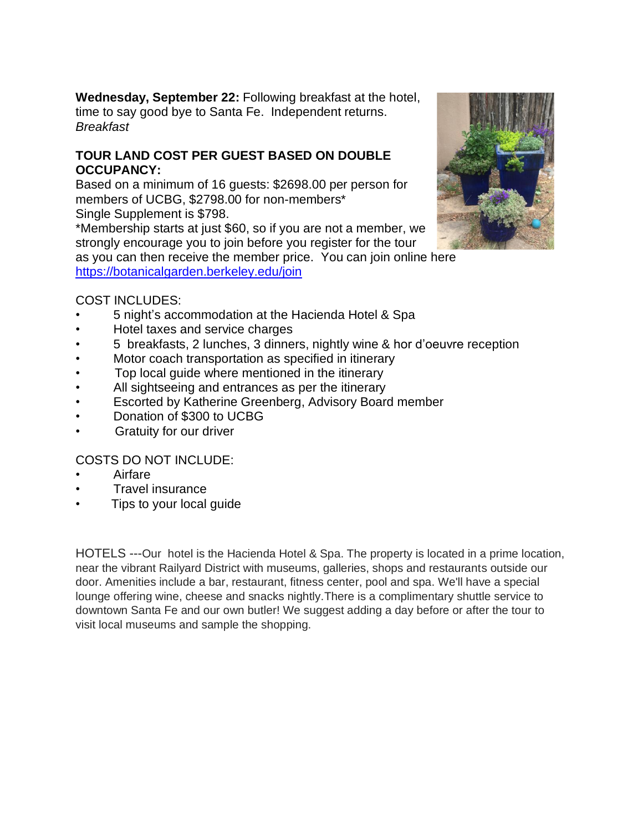**Wednesday, September 22:** Following breakfast at the hotel, time to say good bye to Santa Fe. Independent returns. *Breakfast*

#### **TOUR LAND COST PER GUEST BASED ON DOUBLE OCCUPANCY:**

Based on a minimum of 16 guests: \$2698.00 per person for members of UCBG, \$2798.00 for non-members\* Single Supplement is \$798.

\*Membership starts at just \$60, so if you are not a member, we strongly encourage you to join before you register for the tour

as you can then receive the member price. You can join online here <https://botanicalgarden.berkeley.edu/join>



### COST INCLUDES:

- 5 night's accommodation at the Hacienda Hotel & Spa
- Hotel taxes and service charges
- 5 breakfasts, 2 lunches, 3 dinners, nightly wine & hor d'oeuvre reception
- Motor coach transportation as specified in itinerary
- Top local quide where mentioned in the itinerary
- All sightseeing and entrances as per the itinerary
- Escorted by Katherine Greenberg, Advisory Board member
- Donation of \$300 to UCBG
- **Gratuity for our driver**

# COSTS DO NOT INCLUDE:

- Airfare
- Travel insurance
- Tips to your local guide

HOTELS ---Our hotel is the Hacienda Hotel & Spa. The property is located in a prime location, near the vibrant Railyard District with museums, galleries, shops and restaurants outside our door. Amenities include a bar, restaurant, fitness center, pool and spa. We'll have a special lounge offering wine, cheese and snacks nightly.There is a complimentary shuttle service to downtown Santa Fe and our own butler! We suggest adding a day before or after the tour to visit local museums and sample the shopping.